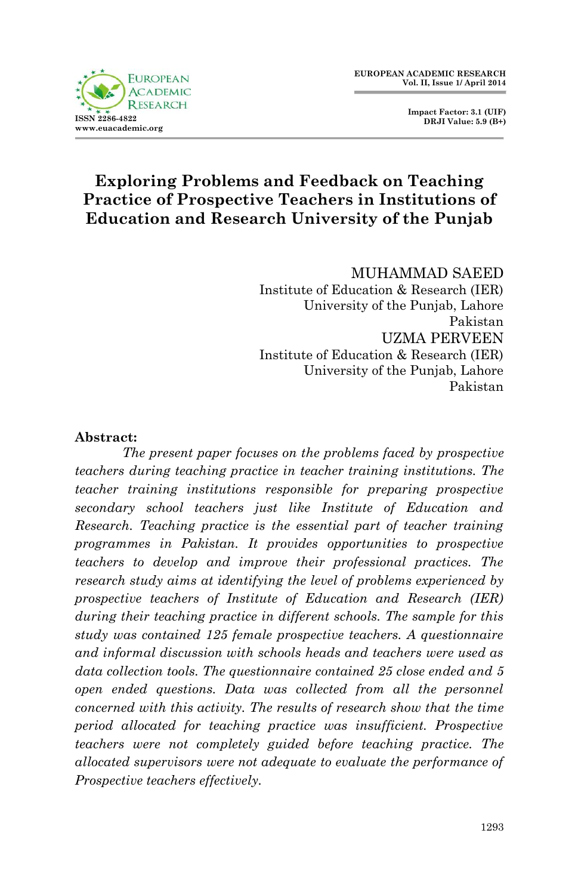

 **Impact Factor: 3.1 (UIF) DRJI Value: 5.9 (B+)**

# **Exploring Problems and Feedback on Teaching Practice of Prospective Teachers in Institutions of Education and Research University of the Punjab**

MUHAMMAD SAEED Institute of Education & Research (IER) University of the Punjab, Lahore Pakistan UZMA PERVEEN Institute of Education & Research (IER) University of the Punjab, Lahore Pakistan

#### **Abstract:**

*The present paper focuses on the problems faced by prospective teachers during teaching practice in teacher training institutions. The teacher training institutions responsible for preparing prospective secondary school teachers just like Institute of Education and Research. Teaching practice is the essential part of teacher training programmes in Pakistan. It provides opportunities to prospective teachers to develop and improve their professional practices. The research study aims at identifying the level of problems experienced by prospective teachers of Institute of Education and Research (IER) during their teaching practice in different schools. The sample for this study was contained 125 female prospective teachers. A questionnaire and informal discussion with schools heads and teachers were used as data collection tools. The questionnaire contained 25 close ended and 5 open ended questions. Data was collected from all the personnel concerned with this activity. The results of research show that the time period allocated for teaching practice was insufficient. Prospective teachers were not completely guided before teaching practice. The allocated supervisors were not adequate to evaluate the performance of Prospective teachers effectively.*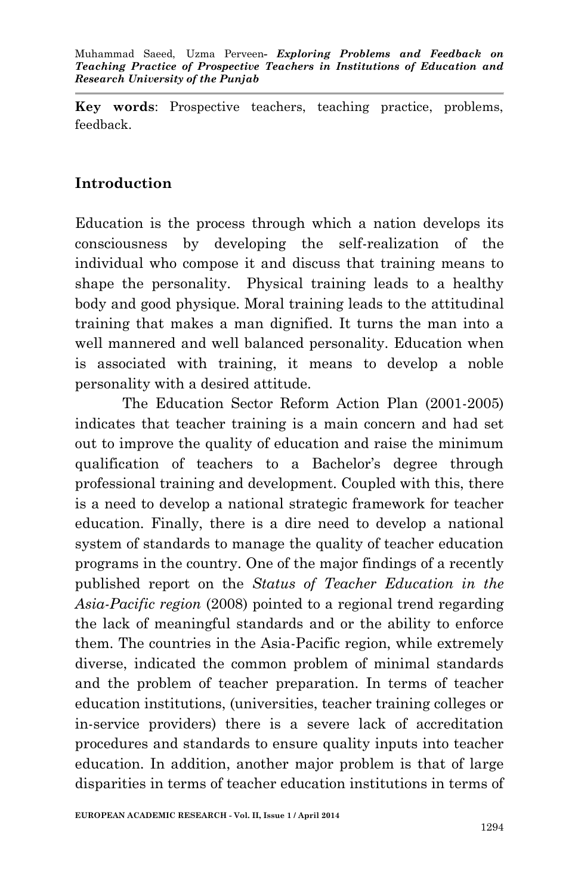**Key words**: Prospective teachers, teaching practice, problems, feedback.

### **Introduction**

Education is the process through which a nation develops its consciousness by developing the self-realization of the individual who compose it and discuss that training means to shape the personality. Physical training leads to a healthy body and good physique. Moral training leads to the attitudinal training that makes a man dignified. It turns the man into a well mannered and well balanced personality. Education when is associated with training, it means to develop a noble personality with a desired attitude.

The Education Sector Reform Action Plan (2001-2005) indicates that teacher training is a main concern and had set out to improve the quality of education and raise the minimum qualification of teachers to a Bachelor's degree through professional training and development. Coupled with this, there is a need to develop a national strategic framework for teacher education. Finally, there is a dire need to develop a national system of standards to manage the quality of teacher education programs in the country. One of the major findings of a recently published report on the *Status of Teacher Education in the Asia-Pacific region* (2008) pointed to a regional trend regarding the lack of meaningful standards and or the ability to enforce them. The countries in the Asia-Pacific region, while extremely diverse, indicated the common problem of minimal standards and the problem of teacher preparation. In terms of teacher education institutions, (universities, teacher training colleges or in-service providers) there is a severe lack of accreditation procedures and standards to ensure quality inputs into teacher education. In addition, another major problem is that of large disparities in terms of teacher education institutions in terms of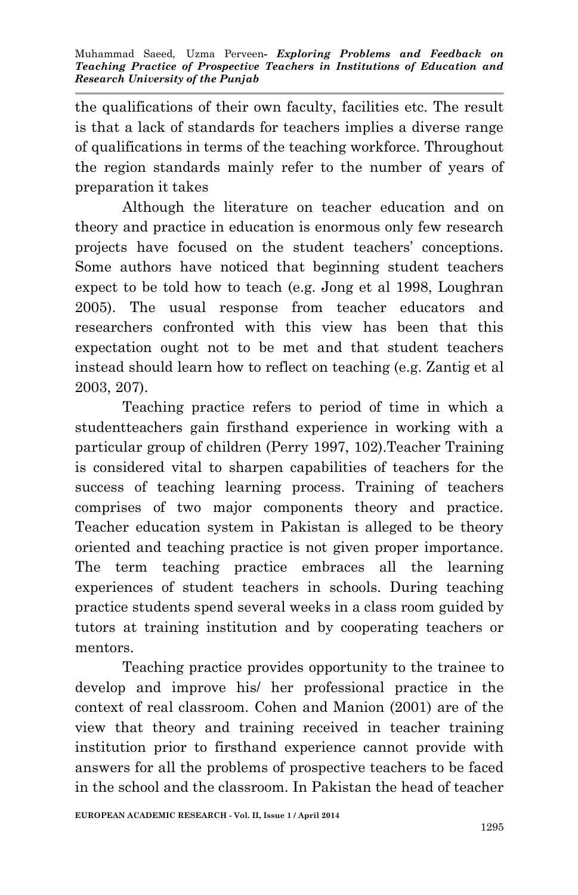the qualifications of their own faculty, facilities etc. The result is that a lack of standards for teachers implies a diverse range of qualifications in terms of the teaching workforce. Throughout the region standards mainly refer to the number of years of preparation it takes

Although the literature on teacher education and on theory and practice in education is enormous only few research projects have focused on the student teachers' conceptions. Some authors have noticed that beginning student teachers expect to be told how to teach (e.g. Jong et al 1998, Loughran 2005). The usual response from teacher educators and researchers confronted with this view has been that this expectation ought not to be met and that student teachers instead should learn how to reflect on teaching (e.g. Zantig et al 2003, 207).

Teaching practice refers to period of time in which a studentteachers gain firsthand experience in working with a particular group of children (Perry 1997, 102).Teacher Training is considered vital to sharpen capabilities of teachers for the success of teaching learning process. Training of teachers comprises of two major components theory and practice. Teacher education system in Pakistan is alleged to be theory oriented and teaching practice is not given proper importance. The term teaching practice embraces all the learning experiences of student teachers in schools. During teaching practice students spend several weeks in a class room guided by tutors at training institution and by cooperating teachers or mentors.

Teaching practice provides opportunity to the trainee to develop and improve his/ her professional practice in the context of real classroom. Cohen and Manion (2001) are of the view that theory and training received in teacher training institution prior to firsthand experience cannot provide with answers for all the problems of prospective teachers to be faced in the school and the classroom. In Pakistan the head of teacher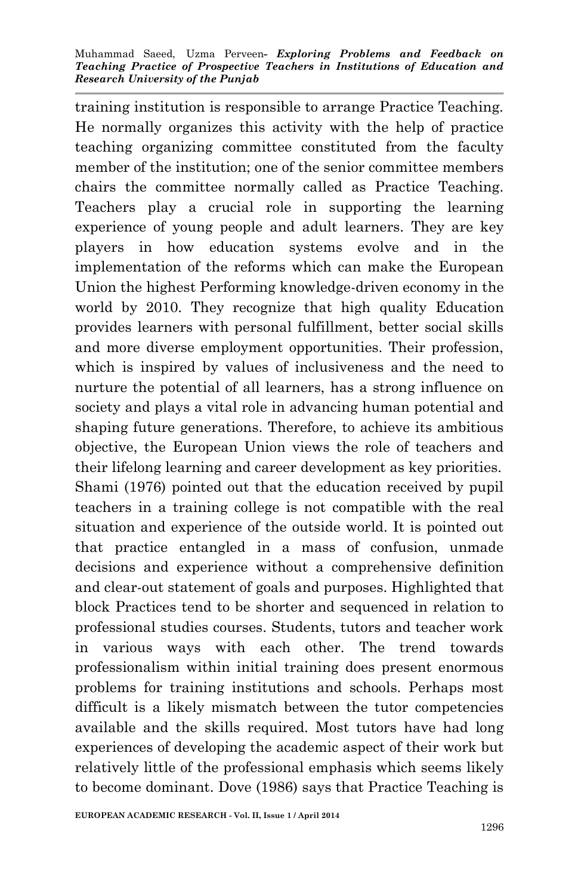training institution is responsible to arrange Practice Teaching. He normally organizes this activity with the help of practice teaching organizing committee constituted from the faculty member of the institution; one of the senior committee members chairs the committee normally called as Practice Teaching. Teachers play a crucial role in supporting the learning experience of young people and adult learners. They are key players in how education systems evolve and in the implementation of the reforms which can make the European Union the highest Performing knowledge-driven economy in the world by 2010. They recognize that high quality Education provides learners with personal fulfillment, better social skills and more diverse employment opportunities. Their profession, which is inspired by values of inclusiveness and the need to nurture the potential of all learners, has a strong influence on society and plays a vital role in advancing human potential and shaping future generations. Therefore, to achieve its ambitious objective, the European Union views the role of teachers and their lifelong learning and career development as key priorities. Shami (1976) pointed out that the education received by pupil teachers in a training college is not compatible with the real situation and experience of the outside world. It is pointed out that practice entangled in a mass of confusion, unmade decisions and experience without a comprehensive definition and clear-out statement of goals and purposes. Highlighted that block Practices tend to be shorter and sequenced in relation to professional studies courses. Students, tutors and teacher work in various ways with each other. The trend towards professionalism within initial training does present enormous problems for training institutions and schools. Perhaps most difficult is a likely mismatch between the tutor competencies available and the skills required. Most tutors have had long experiences of developing the academic aspect of their work but relatively little of the professional emphasis which seems likely to become dominant. Dove (1986) says that Practice Teaching is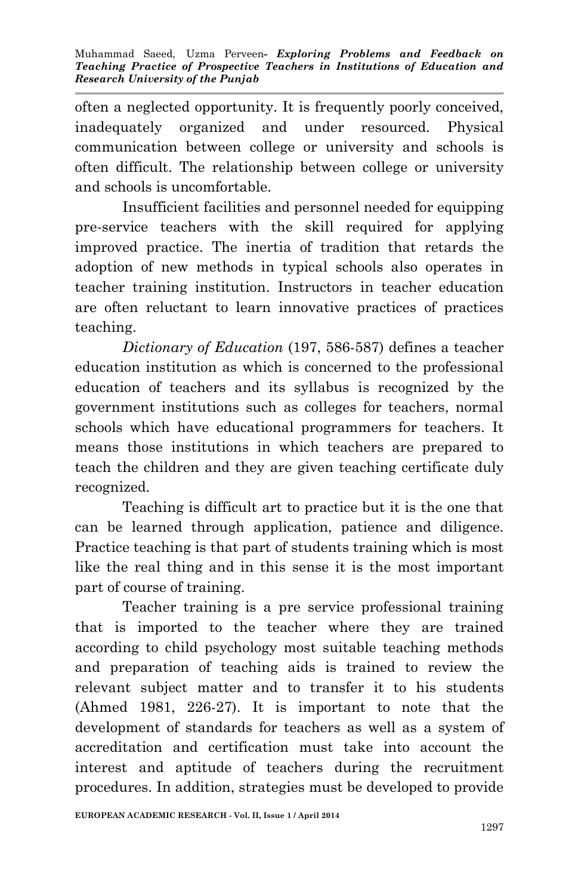often a neglected opportunity. It is frequently poorly conceived, inadequately organized and under resourced. Physical communication between college or university and schools is often difficult. The relationship between college or university and schools is uncomfortable.

Insufficient facilities and personnel needed for equipping pre-service teachers with the skill required for applying improved practice. The inertia of tradition that retards the adoption of new methods in typical schools also operates in teacher training institution. Instructors in teacher education are often reluctant to learn innovative practices of practices teaching.

*Dictionary of Education* (197, 586-587) defines a teacher education institution as which is concerned to the professional education of teachers and its syllabus is recognized by the government institutions such as colleges for teachers, normal schools which have educational programmers for teachers. It means those institutions in which teachers are prepared to teach the children and they are given teaching certificate duly recognized.

Teaching is difficult art to practice but it is the one that can be learned through application, patience and diligence. Practice teaching is that part of students training which is most like the real thing and in this sense it is the most important part of course of training.

Teacher training is a pre service professional training that is imported to the teacher where they are trained according to child psychology most suitable teaching methods and preparation of teaching aids is trained to review the relevant subject matter and to transfer it to his students (Ahmed 1981, 226-27). It is important to note that the development of standards for teachers as well as a system of accreditation and certification must take into account the interest and aptitude of teachers during the recruitment procedures. In addition, strategies must be developed to provide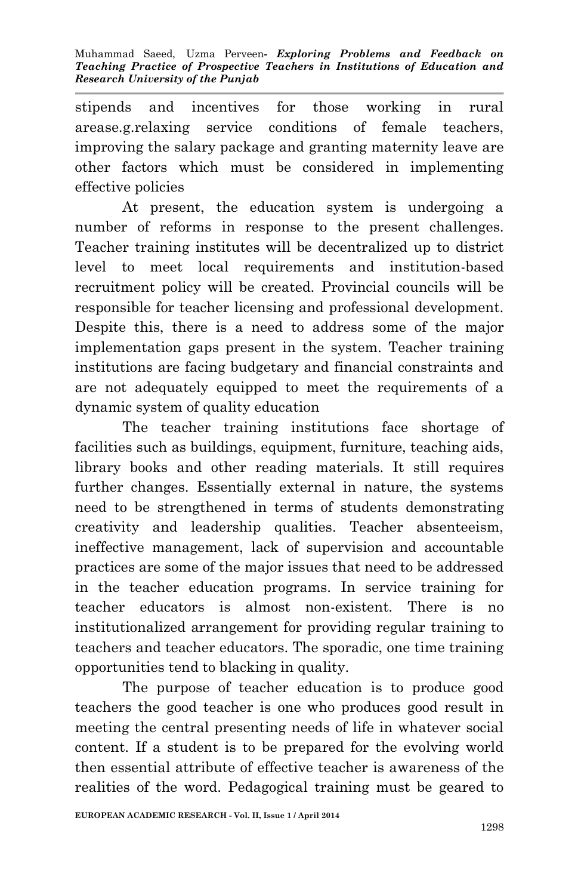stipends and incentives for those working in rural arease.g.relaxing service conditions of female teachers, improving the salary package and granting maternity leave are other factors which must be considered in implementing effective policies

At present, the education system is undergoing a number of reforms in response to the present challenges. Teacher training institutes will be decentralized up to district level to meet local requirements and institution-based recruitment policy will be created. Provincial councils will be responsible for teacher licensing and professional development. Despite this, there is a need to address some of the major implementation gaps present in the system. Teacher training institutions are facing budgetary and financial constraints and are not adequately equipped to meet the requirements of a dynamic system of quality education

The teacher training institutions face shortage of facilities such as buildings, equipment, furniture, teaching aids, library books and other reading materials. It still requires further changes. Essentially external in nature, the systems need to be strengthened in terms of students demonstrating creativity and leadership qualities. Teacher absenteeism, ineffective management, lack of supervision and accountable practices are some of the major issues that need to be addressed in the teacher education programs. In service training for teacher educators is almost non-existent. There is no institutionalized arrangement for providing regular training to teachers and teacher educators. The sporadic, one time training opportunities tend to blacking in quality.

The purpose of teacher education is to produce good teachers the good teacher is one who produces good result in meeting the central presenting needs of life in whatever social content. If a student is to be prepared for the evolving world then essential attribute of effective teacher is awareness of the realities of the word. Pedagogical training must be geared to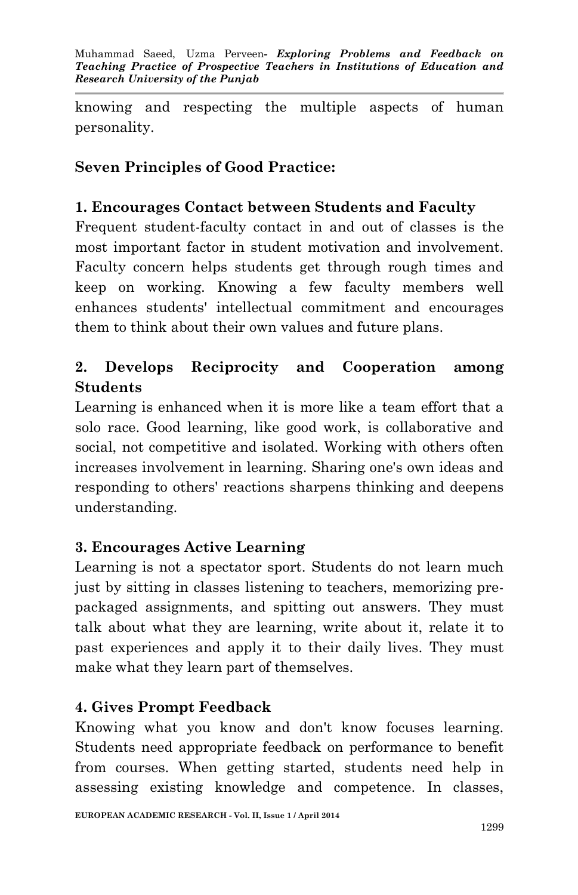knowing and respecting the multiple aspects of human personality.

## **Seven Principles of Good Practice:**

### **1. Encourages Contact between Students and Faculty**

Frequent student-faculty contact in and out of classes is the most important factor in student motivation and involvement. Faculty concern helps students get through rough times and keep on working. Knowing a few faculty members well enhances students' intellectual commitment and encourages them to think about their own values and future plans.

## **2. Develops Reciprocity and Cooperation among Students**

Learning is enhanced when it is more like a team effort that a solo race. Good learning, like good work, is collaborative and social, not competitive and isolated. Working with others often increases involvement in learning. Sharing one's own ideas and responding to others' reactions sharpens thinking and deepens understanding.

### **3. Encourages Active Learning**

Learning is not a spectator sport. Students do not learn much just by sitting in classes listening to teachers, memorizing prepackaged assignments, and spitting out answers. They must talk about what they are learning, write about it, relate it to past experiences and apply it to their daily lives. They must make what they learn part of themselves.

### **4. Gives Prompt Feedback**

Knowing what you know and don't know focuses learning. Students need appropriate feedback on performance to benefit from courses. When getting started, students need help in assessing existing knowledge and competence. In classes,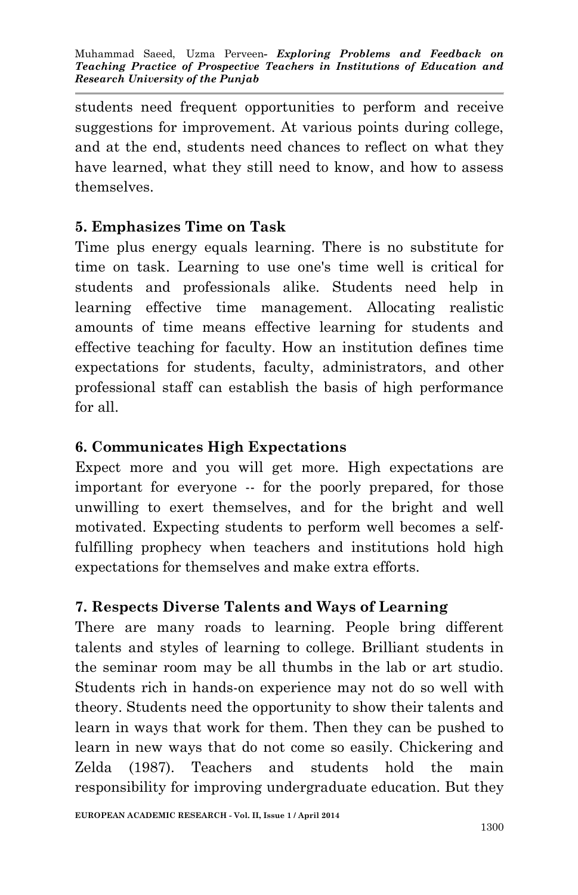students need frequent opportunities to perform and receive suggestions for improvement. At various points during college, and at the end, students need chances to reflect on what they have learned, what they still need to know, and how to assess themselves.

## **5. Emphasizes Time on Task**

Time plus energy equals learning. There is no substitute for time on task. Learning to use one's time well is critical for students and professionals alike. Students need help in learning effective time management. Allocating realistic amounts of time means effective learning for students and effective teaching for faculty. How an institution defines time expectations for students, faculty, administrators, and other professional staff can establish the basis of high performance for all.

## **6. Communicates High Expectations**

Expect more and you will get more. High expectations are important for everyone -- for the poorly prepared, for those unwilling to exert themselves, and for the bright and well motivated. Expecting students to perform well becomes a selffulfilling prophecy when teachers and institutions hold high expectations for themselves and make extra efforts.

### **7. Respects Diverse Talents and Ways of Learning**

There are many roads to learning. People bring different talents and styles of learning to college. Brilliant students in the seminar room may be all thumbs in the lab or art studio. Students rich in hands-on experience may not do so well with theory. Students need the opportunity to show their talents and learn in ways that work for them. Then they can be pushed to learn in new ways that do not come so easily. Chickering and Zelda (1987). Teachers and students hold the main responsibility for improving undergraduate education. But they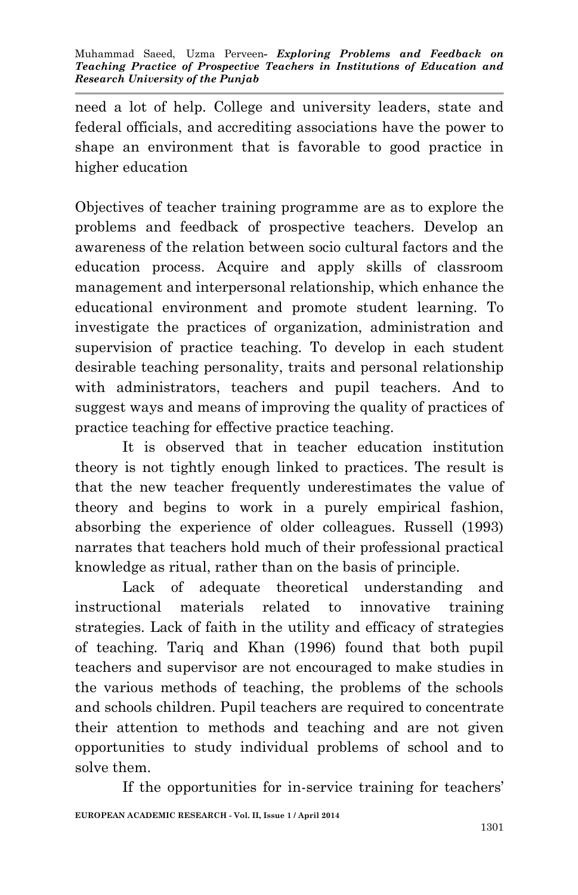need a lot of help. College and university leaders, state and federal officials, and accrediting associations have the power to shape an environment that is favorable to good practice in higher education

Objectives of teacher training programme are as to explore the problems and feedback of prospective teachers. Develop an awareness of the relation between socio cultural factors and the education process. Acquire and apply skills of classroom management and interpersonal relationship, which enhance the educational environment and promote student learning. To investigate the practices of organization, administration and supervision of practice teaching. To develop in each student desirable teaching personality, traits and personal relationship with administrators, teachers and pupil teachers. And to suggest ways and means of improving the quality of practices of practice teaching for effective practice teaching.

It is observed that in teacher education institution theory is not tightly enough linked to practices. The result is that the new teacher frequently underestimates the value of theory and begins to work in a purely empirical fashion, absorbing the experience of older colleagues. Russell (1993) narrates that teachers hold much of their professional practical knowledge as ritual, rather than on the basis of principle.

Lack of adequate theoretical understanding and instructional materials related to innovative training strategies. Lack of faith in the utility and efficacy of strategies of teaching. Tariq and Khan (1996) found that both pupil teachers and supervisor are not encouraged to make studies in the various methods of teaching, the problems of the schools and schools children. Pupil teachers are required to concentrate their attention to methods and teaching and are not given opportunities to study individual problems of school and to solve them.

**EUROPEAN ACADEMIC RESEARCH - Vol. II, Issue 1 / April 2014** If the opportunities for in-service training for teachers'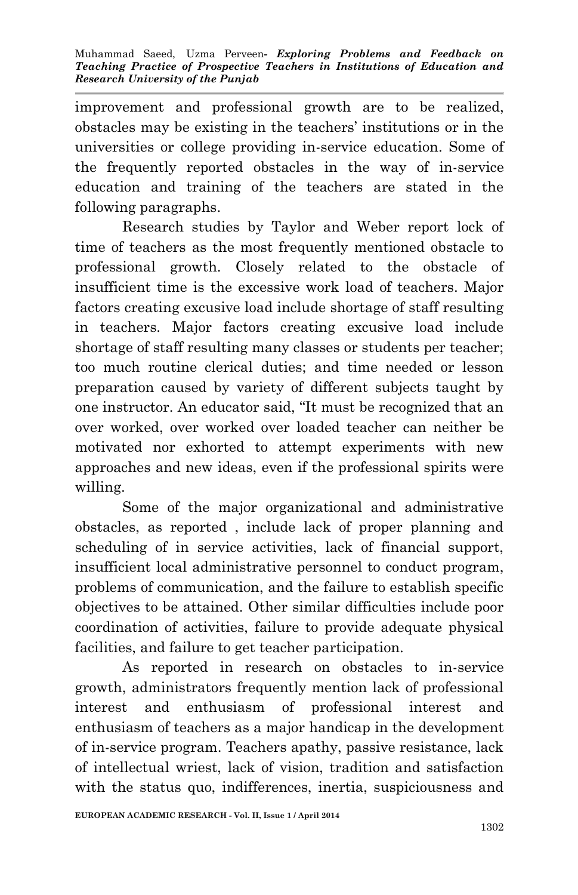improvement and professional growth are to be realized, obstacles may be existing in the teachers' institutions or in the universities or college providing in-service education. Some of the frequently reported obstacles in the way of in-service education and training of the teachers are stated in the following paragraphs.

Research studies by Taylor and Weber report lock of time of teachers as the most frequently mentioned obstacle to professional growth. Closely related to the obstacle of insufficient time is the excessive work load of teachers. Major factors creating excusive load include shortage of staff resulting in teachers. Major factors creating excusive load include shortage of staff resulting many classes or students per teacher; too much routine clerical duties; and time needed or lesson preparation caused by variety of different subjects taught by one instructor. An educator said, "It must be recognized that an over worked, over worked over loaded teacher can neither be motivated nor exhorted to attempt experiments with new approaches and new ideas, even if the professional spirits were willing.

Some of the major organizational and administrative obstacles, as reported , include lack of proper planning and scheduling of in service activities, lack of financial support, insufficient local administrative personnel to conduct program, problems of communication, and the failure to establish specific objectives to be attained. Other similar difficulties include poor coordination of activities, failure to provide adequate physical facilities, and failure to get teacher participation.

As reported in research on obstacles to in-service growth, administrators frequently mention lack of professional interest and enthusiasm of professional interest and enthusiasm of teachers as a major handicap in the development of in-service program. Teachers apathy, passive resistance, lack of intellectual wriest, lack of vision, tradition and satisfaction with the status quo, indifferences, inertia, suspiciousness and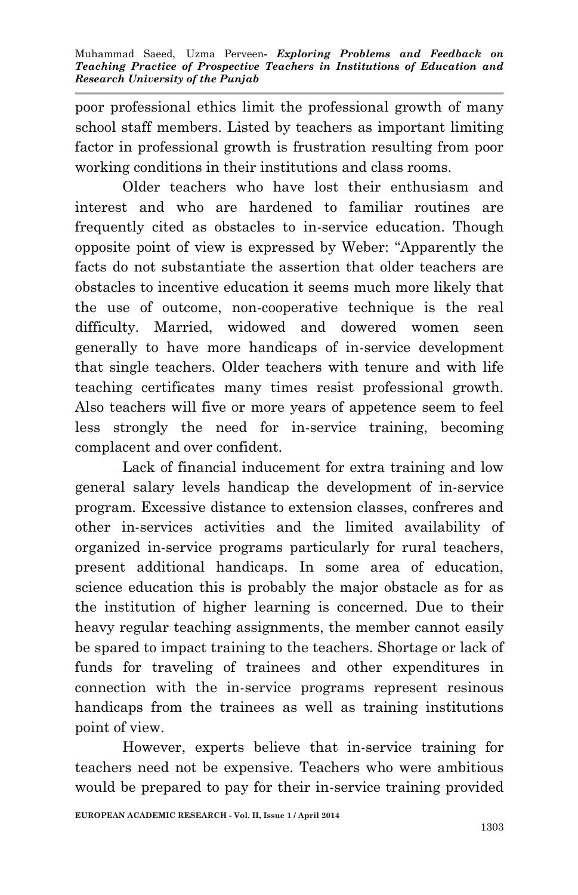poor professional ethics limit the professional growth of many school staff members. Listed by teachers as important limiting factor in professional growth is frustration resulting from poor working conditions in their institutions and class rooms.

Older teachers who have lost their enthusiasm and interest and who are hardened to familiar routines are frequently cited as obstacles to in-service education. Though opposite point of view is expressed by Weber: "Apparently the facts do not substantiate the assertion that older teachers are obstacles to incentive education it seems much more likely that the use of outcome, non-cooperative technique is the real difficulty. Married, widowed and dowered women seen generally to have more handicaps of in-service development that single teachers. Older teachers with tenure and with life teaching certificates many times resist professional growth. Also teachers will five or more years of appetence seem to feel less strongly the need for in-service training, becoming complacent and over confident.

Lack of financial inducement for extra training and low general salary levels handicap the development of in-service program. Excessive distance to extension classes, confreres and other in-services activities and the limited availability of organized in-service programs particularly for rural teachers, present additional handicaps. In some area of education, science education this is probably the major obstacle as for as the institution of higher learning is concerned. Due to their heavy regular teaching assignments, the member cannot easily be spared to impact training to the teachers. Shortage or lack of funds for traveling of trainees and other expenditures in connection with the in-service programs represent resinous handicaps from the trainees as well as training institutions point of view.

However, experts believe that in-service training for teachers need not be expensive. Teachers who were ambitious would be prepared to pay for their in-service training provided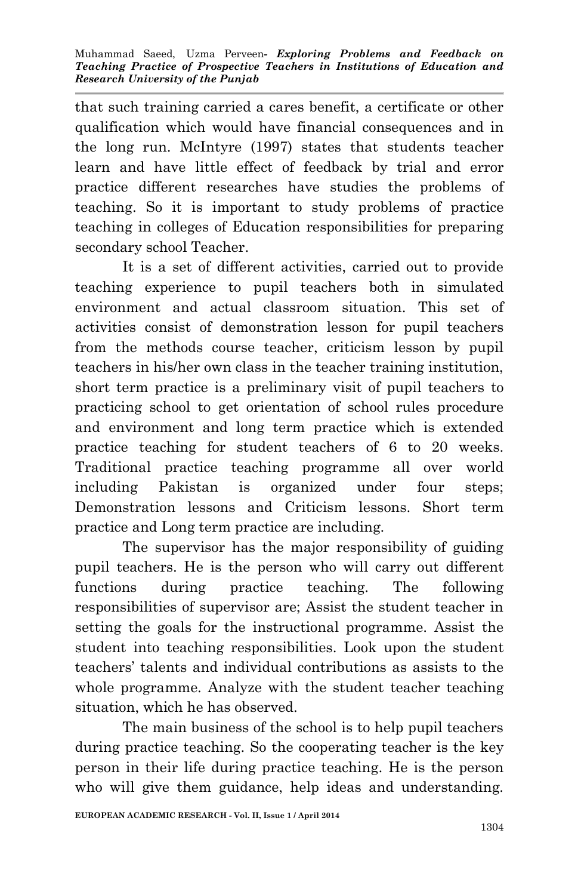that such training carried a cares benefit, a certificate or other qualification which would have financial consequences and in the long run. McIntyre (1997) states that students teacher learn and have little effect of feedback by trial and error practice different researches have studies the problems of teaching. So it is important to study problems of practice teaching in colleges of Education responsibilities for preparing secondary school Teacher.

It is a set of different activities, carried out to provide teaching experience to pupil teachers both in simulated environment and actual classroom situation. This set of activities consist of demonstration lesson for pupil teachers from the methods course teacher, criticism lesson by pupil teachers in his/her own class in the teacher training institution, short term practice is a preliminary visit of pupil teachers to practicing school to get orientation of school rules procedure and environment and long term practice which is extended practice teaching for student teachers of 6 to 20 weeks. Traditional practice teaching programme all over world including Pakistan is organized under four steps; Demonstration lessons and Criticism lessons. Short term practice and Long term practice are including.

The supervisor has the major responsibility of guiding pupil teachers. He is the person who will carry out different functions during practice teaching. The following responsibilities of supervisor are; Assist the student teacher in setting the goals for the instructional programme. Assist the student into teaching responsibilities. Look upon the student teachers' talents and individual contributions as assists to the whole programme. Analyze with the student teacher teaching situation, which he has observed.

The main business of the school is to help pupil teachers during practice teaching. So the cooperating teacher is the key person in their life during practice teaching. He is the person who will give them guidance, help ideas and understanding.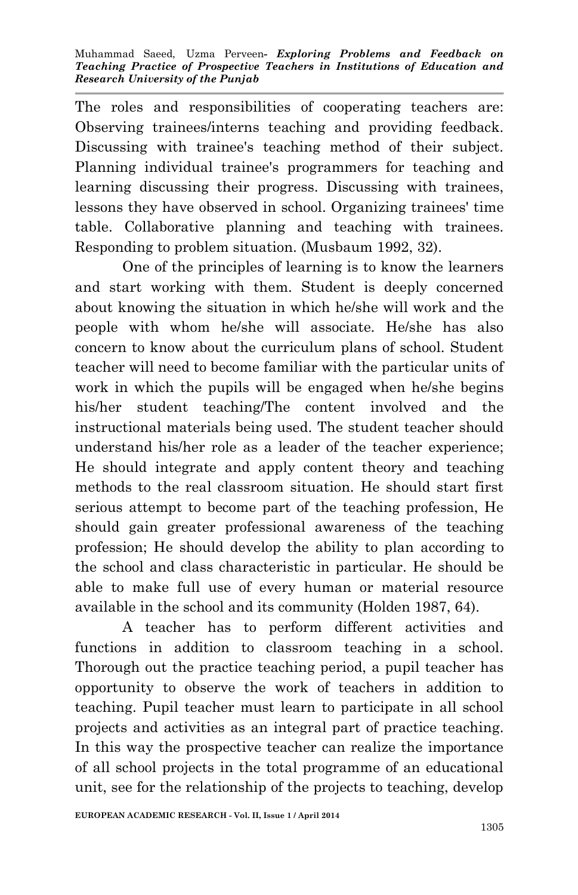The roles and responsibilities of cooperating teachers are: Observing trainees/interns teaching and providing feedback. Discussing with trainee's teaching method of their subject. Planning individual trainee's programmers for teaching and learning discussing their progress. Discussing with trainees, lessons they have observed in school. Organizing trainees' time table. Collaborative planning and teaching with trainees. Responding to problem situation. (Musbaum 1992, 32).

One of the principles of learning is to know the learners and start working with them. Student is deeply concerned about knowing the situation in which he/she will work and the people with whom he/she will associate. He/she has also concern to know about the curriculum plans of school. Student teacher will need to become familiar with the particular units of work in which the pupils will be engaged when he/she begins his/her student teaching/The content involved and the instructional materials being used. The student teacher should understand his/her role as a leader of the teacher experience; He should integrate and apply content theory and teaching methods to the real classroom situation. He should start first serious attempt to become part of the teaching profession, He should gain greater professional awareness of the teaching profession; He should develop the ability to plan according to the school and class characteristic in particular. He should be able to make full use of every human or material resource available in the school and its community (Holden 1987, 64).

A teacher has to perform different activities and functions in addition to classroom teaching in a school. Thorough out the practice teaching period, a pupil teacher has opportunity to observe the work of teachers in addition to teaching. Pupil teacher must learn to participate in all school projects and activities as an integral part of practice teaching. In this way the prospective teacher can realize the importance of all school projects in the total programme of an educational unit, see for the relationship of the projects to teaching, develop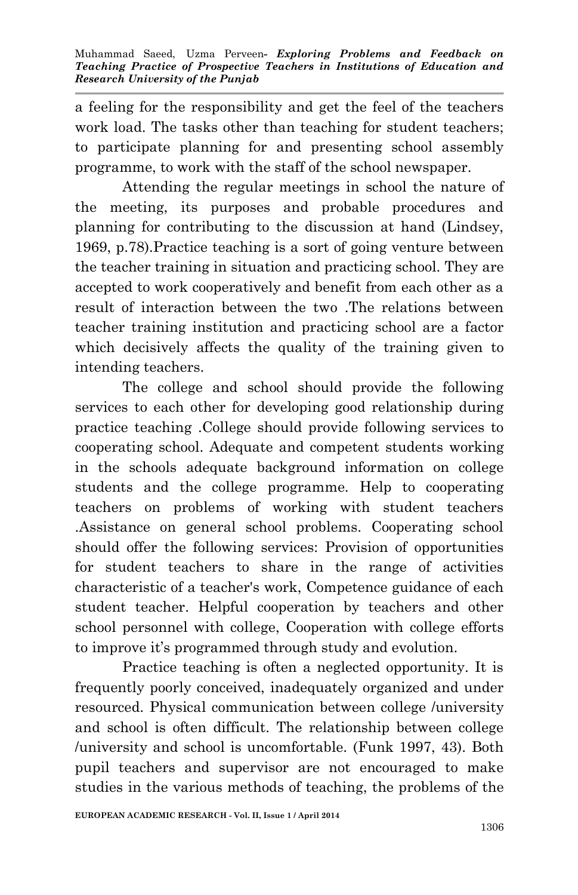a feeling for the responsibility and get the feel of the teachers work load. The tasks other than teaching for student teachers; to participate planning for and presenting school assembly programme, to work with the staff of the school newspaper.

Attending the regular meetings in school the nature of the meeting, its purposes and probable procedures and planning for contributing to the discussion at hand (Lindsey, 1969, p.78).Practice teaching is a sort of going venture between the teacher training in situation and practicing school. They are accepted to work cooperatively and benefit from each other as a result of interaction between the two .The relations between teacher training institution and practicing school are a factor which decisively affects the quality of the training given to intending teachers.

The college and school should provide the following services to each other for developing good relationship during practice teaching .College should provide following services to cooperating school. Adequate and competent students working in the schools adequate background information on college students and the college programme. Help to cooperating teachers on problems of working with student teachers .Assistance on general school problems. Cooperating school should offer the following services: Provision of opportunities for student teachers to share in the range of activities characteristic of a teacher's work, Competence guidance of each student teacher. Helpful cooperation by teachers and other school personnel with college, Cooperation with college efforts to improve it's programmed through study and evolution.

Practice teaching is often a neglected opportunity. It is frequently poorly conceived, inadequately organized and under resourced. Physical communication between college /university and school is often difficult. The relationship between college /university and school is uncomfortable. (Funk 1997, 43). Both pupil teachers and supervisor are not encouraged to make studies in the various methods of teaching, the problems of the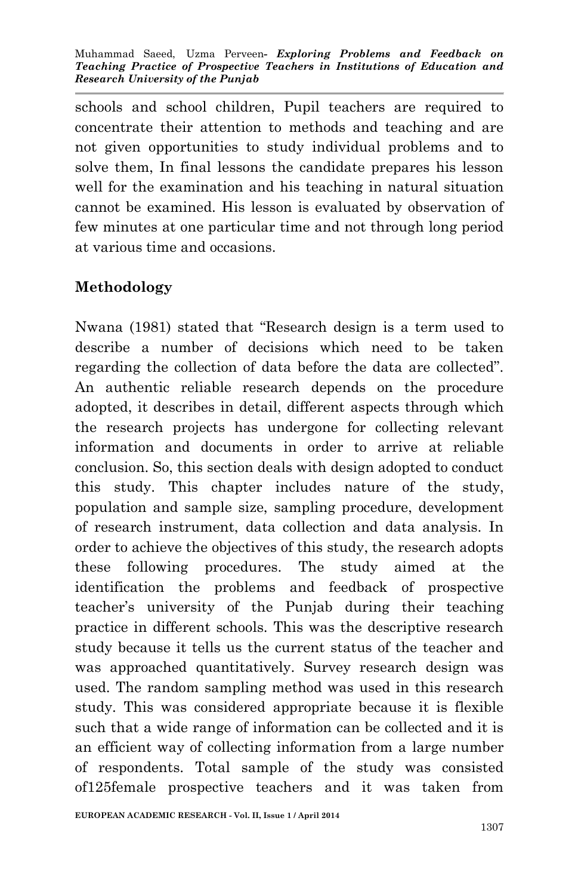schools and school children, Pupil teachers are required to concentrate their attention to methods and teaching and are not given opportunities to study individual problems and to solve them, In final lessons the candidate prepares his lesson well for the examination and his teaching in natural situation cannot be examined. His lesson is evaluated by observation of few minutes at one particular time and not through long period at various time and occasions.

### **Methodology**

Nwana (1981) stated that "Research design is a term used to describe a number of decisions which need to be taken regarding the collection of data before the data are collected". An authentic reliable research depends on the procedure adopted, it describes in detail, different aspects through which the research projects has undergone for collecting relevant information and documents in order to arrive at reliable conclusion. So, this section deals with design adopted to conduct this study. This chapter includes nature of the study, population and sample size, sampling procedure, development of research instrument, data collection and data analysis. In order to achieve the objectives of this study, the research adopts these following procedures. The study aimed at the identification the problems and feedback of prospective teacher's university of the Punjab during their teaching practice in different schools. This was the descriptive research study because it tells us the current status of the teacher and was approached quantitatively. Survey research design was used. The random sampling method was used in this research study. This was considered appropriate because it is flexible such that a wide range of information can be collected and it is an efficient way of collecting information from a large number of respondents. Total sample of the study was consisted of125female prospective teachers and it was taken from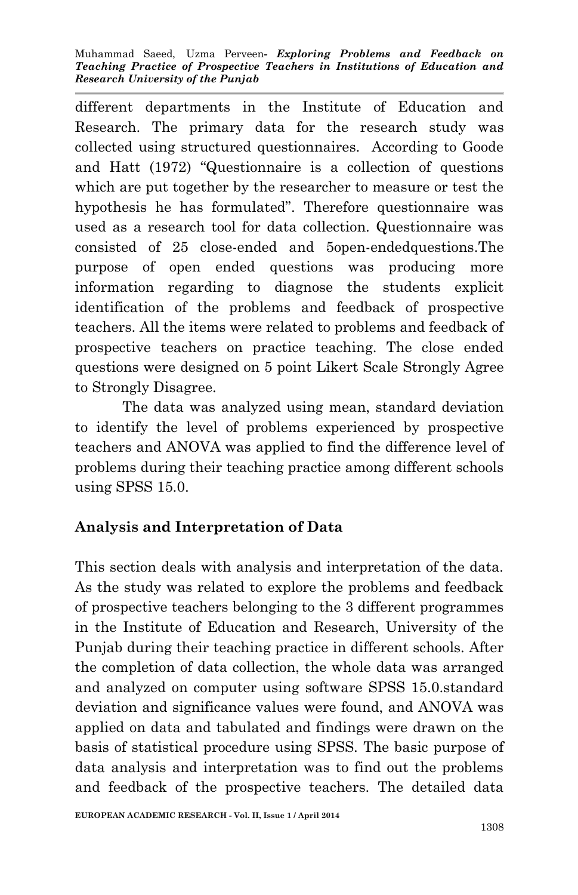Muhammad Saeed, Uzma Perveen*- Exploring Problems and Feedback on Teaching Practice of Prospective Teachers in Institutions of Education and Research University of the Punjab*

different departments in the Institute of Education and Research. The primary data for the research study was collected using structured questionnaires. According to Goode and Hatt (1972) "Questionnaire is a collection of questions which are put together by the researcher to measure or test the hypothesis he has formulated". Therefore questionnaire was used as a research tool for data collection. Questionnaire was consisted of 25 close-ended and 5open-endedquestions.The purpose of open ended questions was producing more information regarding to diagnose the students explicit identification of the problems and feedback of prospective teachers. All the items were related to problems and feedback of prospective teachers on practice teaching. The close ended questions were designed on 5 point Likert Scale Strongly Agree to Strongly Disagree.

The data was analyzed using mean, standard deviation to identify the level of problems experienced by prospective teachers and ANOVA was applied to find the difference level of problems during their teaching practice among different schools using SPSS 15.0.

## **Analysis and Interpretation of Data**

This section deals with analysis and interpretation of the data. As the study was related to explore the problems and feedback of prospective teachers belonging to the 3 different programmes in the Institute of Education and Research, University of the Punjab during their teaching practice in different schools. After the completion of data collection, the whole data was arranged and analyzed on computer using software SPSS 15.0.standard deviation and significance values were found, and ANOVA was applied on data and tabulated and findings were drawn on the basis of statistical procedure using SPSS. The basic purpose of data analysis and interpretation was to find out the problems and feedback of the prospective teachers. The detailed data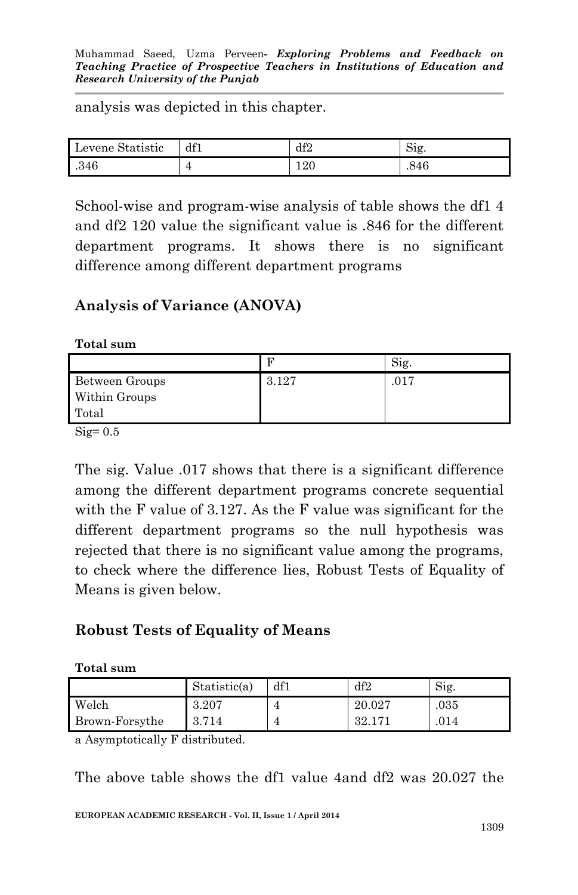analysis was depicted in this chapter.

| Levene Statistic | df1 | df2     | S1g. |
|------------------|-----|---------|------|
| .346             |     | $120\,$ | .846 |

School-wise and program-wise analysis of table shows the df1 4 and df2 120 value the significant value is .846 for the different department programs. It shows there is no significant difference among different department programs

### **Analysis of Variance (ANOVA)**

**Total sum** 

|                |       | S1g. |
|----------------|-------|------|
| Between Groups | 3.127 | 017  |
| Within Groups  |       |      |
| Total          |       |      |

 $\text{Sig}=0.5$ 

The sig. Value .017 shows that there is a significant difference among the different department programs concrete sequential with the F value of 3.127. As the F value was significant for the different department programs so the null hypothesis was rejected that there is no significant value among the programs, to check where the difference lies, Robust Tests of Equality of Means is given below.

### **Robust Tests of Equality of Means**

#### **Total sum**

|                | Statistic(a) | df1 | df2    | Sig. |
|----------------|--------------|-----|--------|------|
| Welch          | 3.207        |     | 20.027 | .035 |
| Brown-Forsythe | 3.714        |     | 32.171 | 014  |

a Asymptotically F distributed.

The above table shows the df1 value 4and df2 was 20.027 the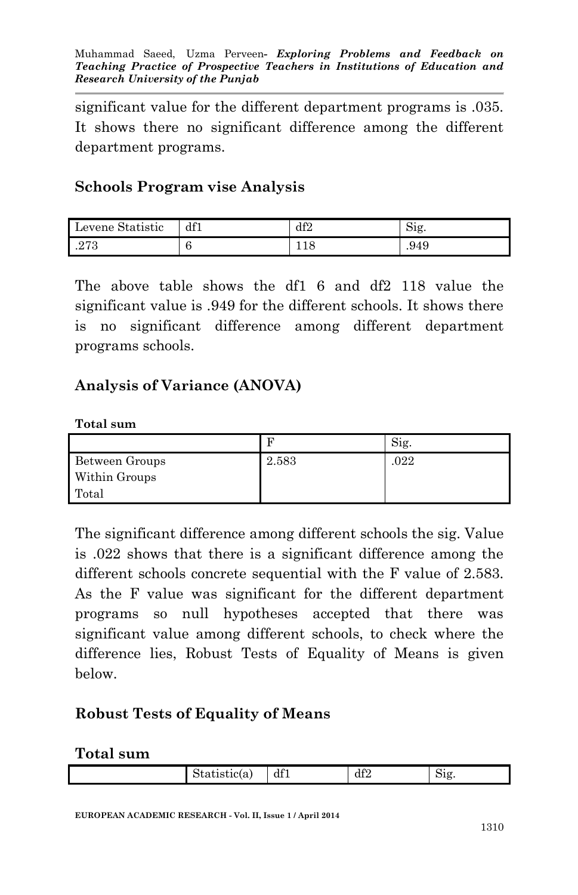significant value for the different department programs is .035. It shows there no significant difference among the different department programs.

### **Schools Program vise Analysis**

| Levene Statistic | df1 | df2 | 51g. |
|------------------|-----|-----|------|
| .273             | U   |     | .949 |

The above table shows the df1 6 and df2 118 value the significant value is .949 for the different schools. It shows there is no significant difference among different department programs schools.

### **Analysis of Variance (ANOVA)**

#### **Total sum**

|                |       | Sig. |
|----------------|-------|------|
| Between Groups | 2.583 | .022 |
| Within Groups  |       |      |
| Total          |       |      |

The significant difference among different schools the sig. Value is .022 shows that there is a significant difference among the different schools concrete sequential with the F value of 2.583. As the F value was significant for the different department programs so null hypotheses accepted that there was significant value among different schools, to check where the difference lies, Robust Tests of Equality of Means is given below.

### **Robust Tests of Equality of Means**

#### **Total sum**

|  |  | Statistic(a, | df1 | 1 ቦ<br>-<br>u⊥∠ | ∼<br>512 |
|--|--|--------------|-----|-----------------|----------|
|--|--|--------------|-----|-----------------|----------|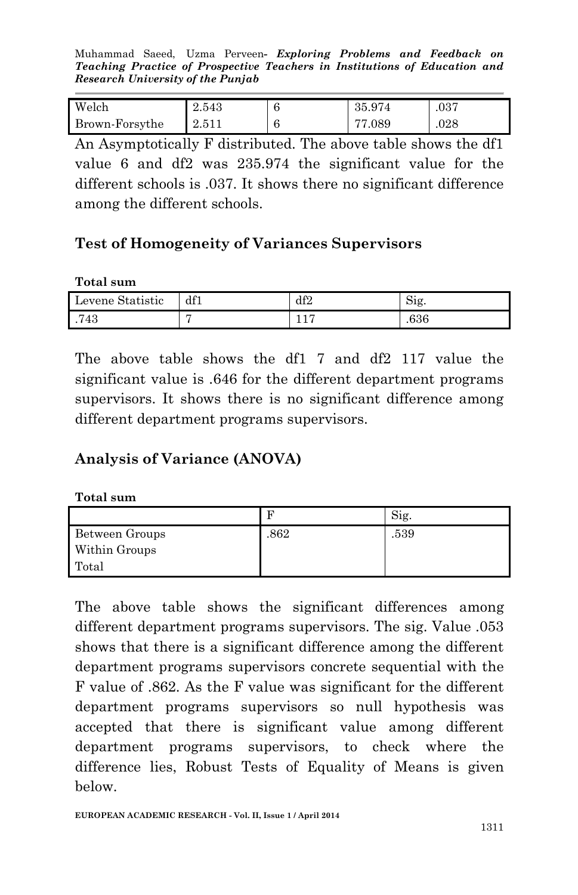Muhammad Saeed, Uzma Perveen*- Exploring Problems and Feedback on Teaching Practice of Prospective Teachers in Institutions of Education and Research University of the Punjab*

| Welch          | 2.543 | 35.974 | .037 |
|----------------|-------|--------|------|
| Brown-Forsythe | 2.511 | 77.089 | .028 |

An Asymptotically F distributed. The above table shows the df1 value 6 and df2 was 235.974 the significant value for the different schools is .037. It shows there no significant difference among the different schools.

### **Test of Homogeneity of Variances Supervisors**

#### **Total sum**

| .<br>Levene Statistic | df1 | df2 | $\sim$ .<br>51g |
|-----------------------|-----|-----|-----------------|
| .743                  |     | ⊥⊥  | .636            |

The above table shows the df1 7 and df2 117 value the significant value is .646 for the different department programs supervisors. It shows there is no significant difference among different department programs supervisors.

## **Analysis of Variance (ANOVA)**

#### **Total sum**

|                | R    | S1g. |
|----------------|------|------|
| Between Groups | .862 | .539 |
| Within Groups  |      |      |
| Total          |      |      |

The above table shows the significant differences among different department programs supervisors. The sig. Value .053 shows that there is a significant difference among the different department programs supervisors concrete sequential with the F value of .862. As the F value was significant for the different department programs supervisors so null hypothesis was accepted that there is significant value among different department programs supervisors, to check where the difference lies, Robust Tests of Equality of Means is given below.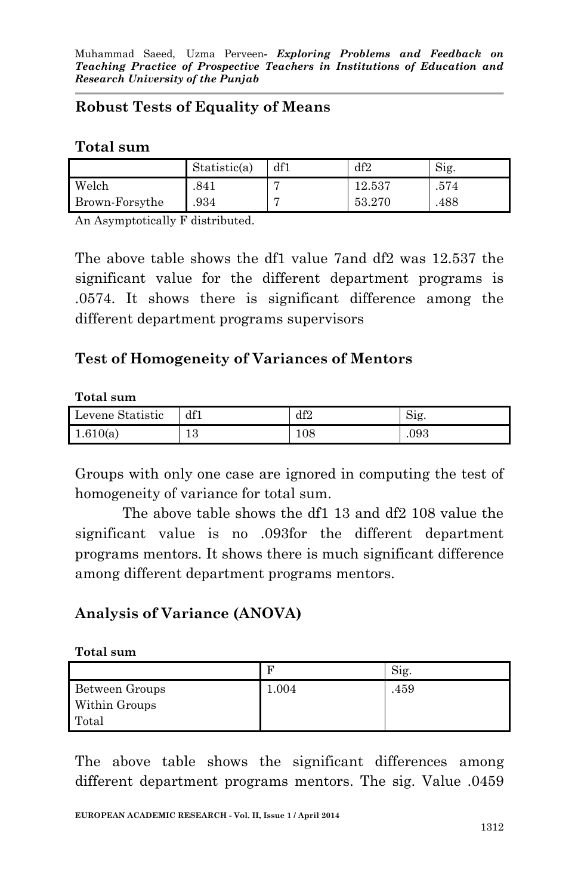## **Robust Tests of Equality of Means**

#### **Total sum**

|                | Statistic(a) | df1 | df2    | Sig. |
|----------------|--------------|-----|--------|------|
| Welch          | .841         |     | 12.537 | .574 |
| Brown-Forsythe | .934         |     | 53.270 | .488 |

An Asymptotically F distributed.

The above table shows the df1 value 7and df2 was 12.537 the significant value for the different department programs is .0574. It shows there is significant difference among the different department programs supervisors

### **Test of Homogeneity of Variances of Mentors**

#### **Total sum**

| Levene Statistic | df1       | df2 | $\mathrm{S1g}$ . |
|------------------|-----------|-----|------------------|
| 1.610(a)         | 1 ຕ<br>ŦΩ | 108 | .093             |

Groups with only one case are ignored in computing the test of homogeneity of variance for total sum.

The above table shows the df1 13 and df2 108 value the significant value is no .093for the different department programs mentors. It shows there is much significant difference among different department programs mentors.

## **Analysis of Variance (ANOVA)**

#### **Total sum**

|                | F     | Sig. |
|----------------|-------|------|
| Between Groups | 1.004 | .459 |
| Within Groups  |       |      |
| Total          |       |      |

The above table shows the significant differences among different department programs mentors. The sig. Value .0459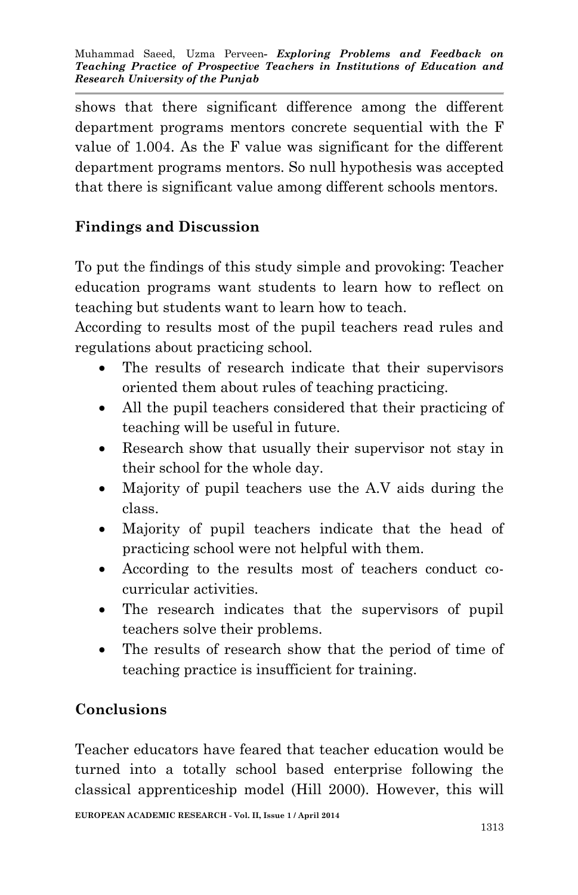shows that there significant difference among the different department programs mentors concrete sequential with the F value of 1.004. As the F value was significant for the different department programs mentors. So null hypothesis was accepted that there is significant value among different schools mentors.

# **Findings and Discussion**

To put the findings of this study simple and provoking: Teacher education programs want students to learn how to reflect on teaching but students want to learn how to teach.

According to results most of the pupil teachers read rules and regulations about practicing school.

- The results of research indicate that their supervisors oriented them about rules of teaching practicing.
- All the pupil teachers considered that their practicing of teaching will be useful in future.
- Research show that usually their supervisor not stay in their school for the whole day.
- Majority of pupil teachers use the A.V aids during the class.
- Majority of pupil teachers indicate that the head of practicing school were not helpful with them.
- According to the results most of teachers conduct cocurricular activities.
- The research indicates that the supervisors of pupil teachers solve their problems.
- The results of research show that the period of time of teaching practice is insufficient for training.

# **Conclusions**

Teacher educators have feared that teacher education would be turned into a totally school based enterprise following the classical apprenticeship model (Hill 2000). However, this will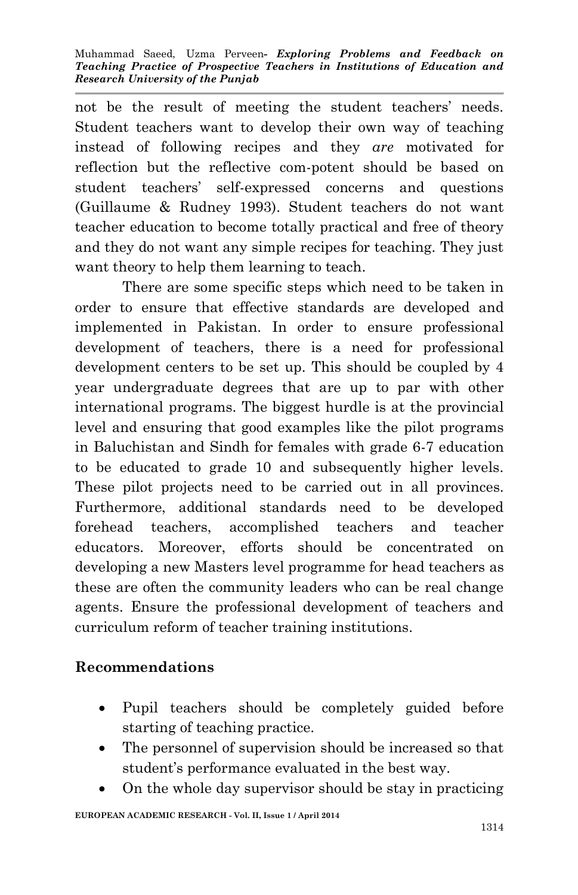not be the result of meeting the student teachers' needs. Student teachers want to develop their own way of teaching instead of following recipes and they *are* motivated for reflection but the reflective com-potent should be based on student teachers' self-expressed concerns and questions (Guillaume & Rudney 1993). Student teachers do not want teacher education to become totally practical and free of theory and they do not want any simple recipes for teaching. They just want theory to help them learning to teach.

There are some specific steps which need to be taken in order to ensure that effective standards are developed and implemented in Pakistan. In order to ensure professional development of teachers, there is a need for professional development centers to be set up. This should be coupled by 4 year undergraduate degrees that are up to par with other international programs. The biggest hurdle is at the provincial level and ensuring that good examples like the pilot programs in Baluchistan and Sindh for females with grade 6-7 education to be educated to grade 10 and subsequently higher levels. These pilot projects need to be carried out in all provinces. Furthermore, additional standards need to be developed forehead teachers, accomplished teachers and teacher educators. Moreover, efforts should be concentrated on developing a new Masters level programme for head teachers as these are often the community leaders who can be real change agents. Ensure the professional development of teachers and curriculum reform of teacher training institutions.

## **Recommendations**

- Pupil teachers should be completely guided before starting of teaching practice.
- The personnel of supervision should be increased so that student's performance evaluated in the best way.
- On the whole day supervisor should be stay in practicing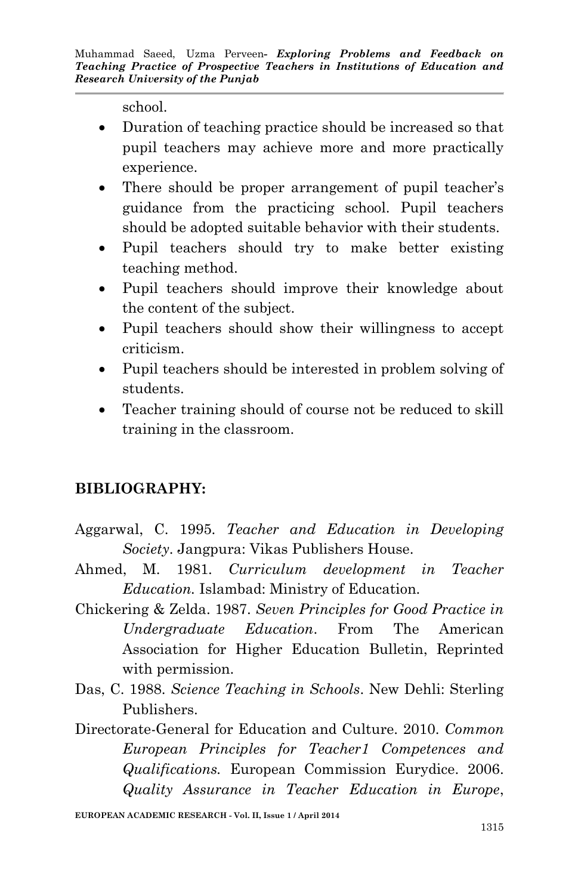school.

- Duration of teaching practice should be increased so that pupil teachers may achieve more and more practically experience.
- There should be proper arrangement of pupil teacher's guidance from the practicing school. Pupil teachers should be adopted suitable behavior with their students.
- Pupil teachers should try to make better existing teaching method.
- Pupil teachers should improve their knowledge about the content of the subject.
- Pupil teachers should show their willingness to accept criticism.
- Pupil teachers should be interested in problem solving of students.
- Teacher training should of course not be reduced to skill training in the classroom.

# **BIBLIOGRAPHY:**

- Aggarwal, C. 1995. *Teacher and Education in Developing Society*. Jangpura: Vikas Publishers House.
- Ahmed, M. 1981. *Curriculum development in Teacher Education.* Islambad: Ministry of Education.
- Chickering & Zelda. 1987. *Seven Principles for Good Practice in Undergraduate Education*. From The American Association for Higher Education Bulletin, Reprinted with permission.
- Das, C. 1988. *Science Teaching in Schools*. New Dehli: Sterling Publishers.
- Directorate-General for Education and Culture. 2010. *Common European Principles for Teacher1 Competences and Qualifications.* European Commission Eurydice. 2006. *Quality Assurance in Teacher Education in Europe*,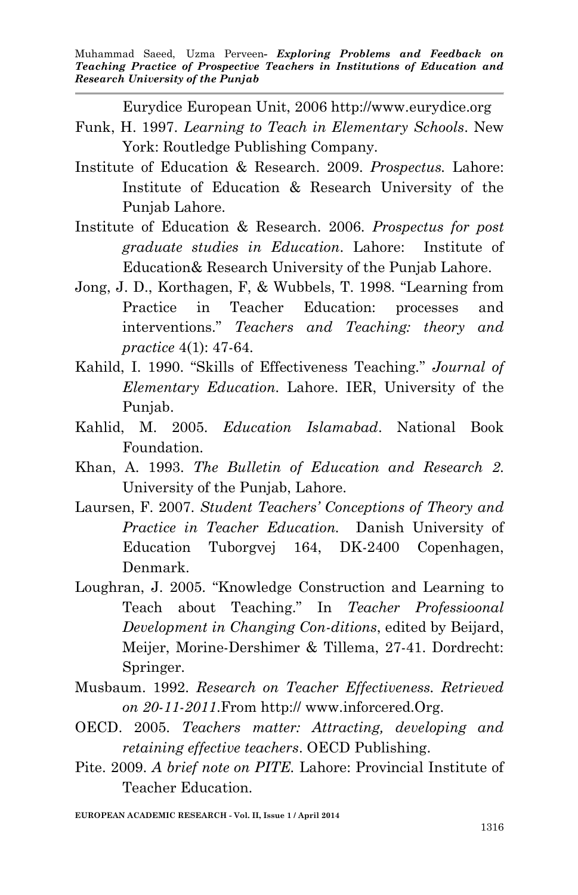Eurydice European Unit, 2006 http://www.eurydice.org

- Funk, H. 1997. *Learning to Teach in Elementary Schools*. New York: Routledge Publishing Company.
- Institute of Education & Research. 2009. *Prospectus.* Lahore: Institute of Education & Research University of the Punjab Lahore.
- Institute of Education & Research. 2006. *Prospectus for post graduate studies in Education*. Lahore: Institute of Education& Research University of the Punjab Lahore.
- Jong, J. D., Korthagen, F, & Wubbels, T. 1998. "Learning from Practice in Teacher Education: processes and interventions." *Teachers and Teaching: theory and practice* 4(1): 47-64.
- Kahild, I. 1990. "Skills of Effectiveness Teaching*.*" *Journal of Elementary Education.* Lahore. IER, University of the Punjab.
- Kahlid, M. 2005. *Education Islamabad*. National Book Foundation.
- Khan, A. 1993. *The Bulletin of Education and Research 2*. University of the Punjab, Lahore.
- Laursen, F. 2007. *Student Teachers' Conceptions of Theory and Practice in Teacher Education.* Danish University of Education Tuborgvej 164, DK-2400 Copenhagen, Denmark.
- Loughran, J. 2005. "Knowledge Construction and Learning to Teach about Teaching." In *Teacher Professioonal Development in Changing Con-ditions*, edited by Beijard, Meijer, Morine-Dershimer & Tillema, 27-41. Dordrecht: Springer.
- Musbaum. 1992. *Research on Teacher Effectiveness. Retrieved on 20-11-2011*.From http:// www.inforcered.Org.
- OECD. 2005. *Teachers matter: Attracting, developing and retaining effective teachers*. OECD Publishing.
- Pite. 2009. *A brief note on PITE.* Lahore: Provincial Institute of Teacher Education.

**EUROPEAN ACADEMIC RESEARCH - Vol. II, Issue 1 / April 2014**